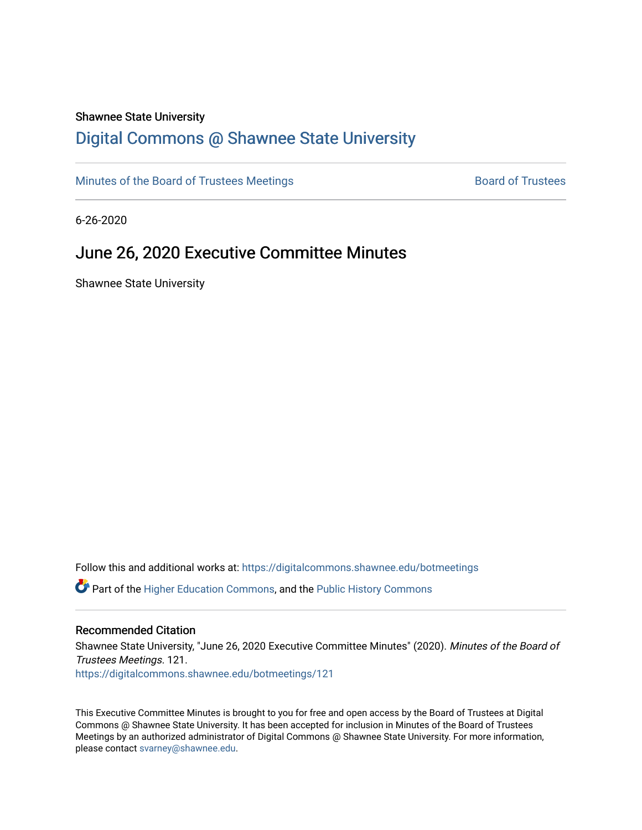#### Shawnee State University

# [Digital Commons @ Shawnee State University](https://digitalcommons.shawnee.edu/)

[Minutes of the Board of Trustees Meetings](https://digitalcommons.shawnee.edu/botmeetings) **Board of Trustees** Board of Trustees

6-26-2020

# June 26, 2020 Executive Committee Minutes

Shawnee State University

Follow this and additional works at: [https://digitalcommons.shawnee.edu/botmeetings](https://digitalcommons.shawnee.edu/botmeetings?utm_source=digitalcommons.shawnee.edu%2Fbotmeetings%2F121&utm_medium=PDF&utm_campaign=PDFCoverPages) 

Part of the [Higher Education Commons,](https://network.bepress.com/hgg/discipline/1245?utm_source=digitalcommons.shawnee.edu%2Fbotmeetings%2F121&utm_medium=PDF&utm_campaign=PDFCoverPages) and the [Public History Commons](https://network.bepress.com/hgg/discipline/1292?utm_source=digitalcommons.shawnee.edu%2Fbotmeetings%2F121&utm_medium=PDF&utm_campaign=PDFCoverPages)

#### Recommended Citation

Shawnee State University, "June 26, 2020 Executive Committee Minutes" (2020). Minutes of the Board of Trustees Meetings. 121. [https://digitalcommons.shawnee.edu/botmeetings/121](https://digitalcommons.shawnee.edu/botmeetings/121?utm_source=digitalcommons.shawnee.edu%2Fbotmeetings%2F121&utm_medium=PDF&utm_campaign=PDFCoverPages) 

This Executive Committee Minutes is brought to you for free and open access by the Board of Trustees at Digital Commons @ Shawnee State University. It has been accepted for inclusion in Minutes of the Board of Trustees Meetings by an authorized administrator of Digital Commons @ Shawnee State University. For more information, please contact [svarney@shawnee.edu.](mailto:svarney@shawnee.edu)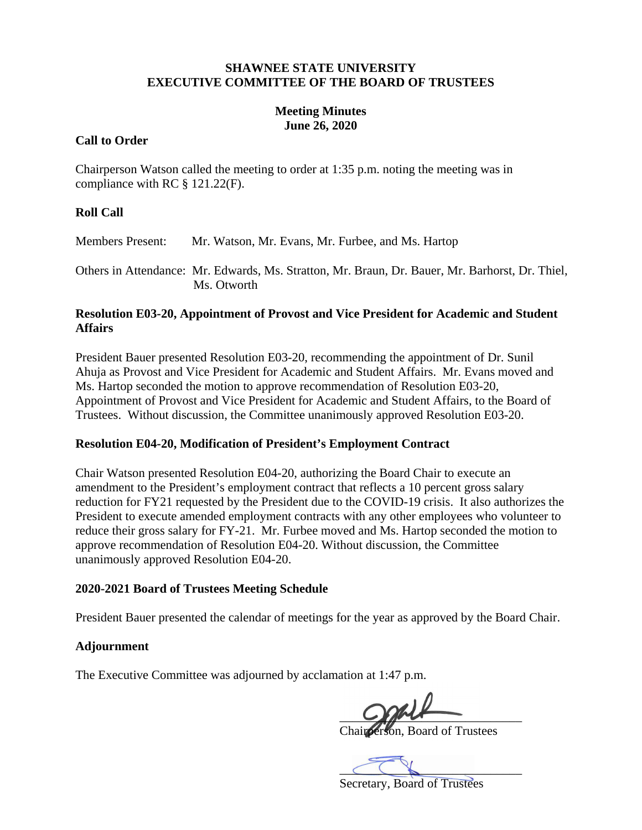#### **SHAWNEE STATE UNIVERSITY EXECUTIVE COMMITTEE OF THE BOARD OF TRUSTEES**

#### **Meeting Minutes June 26, 2020**

#### **Call to Order**

Chairperson Watson called the meeting to order at 1:35 p.m. noting the meeting was in compliance with RC § 121.22(F).

### **Roll Call**

Members Present: Mr. Watson, Mr. Evans, Mr. Furbee, and Ms. Hartop

Others in Attendance: Mr. Edwards, Ms. Stratton, Mr. Braun, Dr. Bauer, Mr. Barhorst, Dr. Thiel, Ms. Otworth

#### **Resolution E03-20, Appointment of Provost and Vice President for Academic and Student Affairs**

President Bauer presented Resolution E03-20, recommending the appointment of Dr. Sunil Ahuja as Provost and Vice President for Academic and Student Affairs. Mr. Evans moved and Ms. Hartop seconded the motion to approve recommendation of Resolution E03-20, Appointment of Provost and Vice President for Academic and Student Affairs, to the Board of Trustees. Without discussion, the Committee unanimously approved Resolution E03-20.

#### **Resolution E04-20, Modification of President's Employment Contract**

Chair Watson presented Resolution E04-20, authorizing the Board Chair to execute an amendment to the President's employment contract that reflects a 10 percent gross salary reduction for FY21 requested by the President due to the COVID-19 crisis. It also authorizes the President to execute amended employment contracts with any other employees who volunteer to reduce their gross salary for FY-21. Mr. Furbee moved and Ms. Hartop seconded the motion to approve recommendation of Resolution E04-20. Without discussion, the Committee unanimously approved Resolution E04-20.

#### **2020-2021 Board of Trustees Meeting Schedule**

President Bauer presented the calendar of meetings for the year as approved by the Board Chair.

# **Adjournment**

The Executive Committee was adjourned by acclamation at 1:47 p.m.

 $C$  for  $\sqrt{C}$ 

Chairperson, Board of Trustees

 $\subset \subset \mathbb{R}$ 

Secretary, Board of Trustees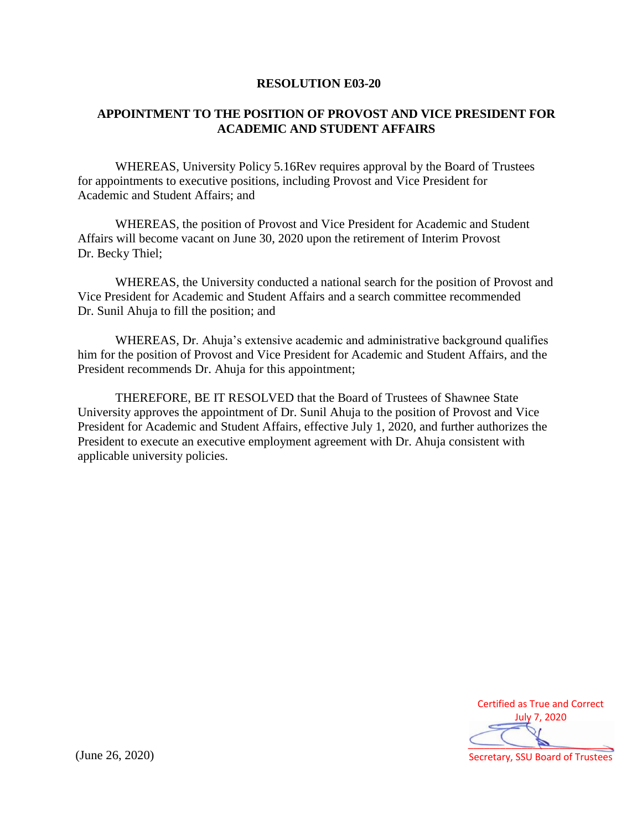#### **RESOLUTION E03-20**

# **APPOINTMENT TO THE POSITION OF PROVOST AND VICE PRESIDENT FOR ACADEMIC AND STUDENT AFFAIRS**

WHEREAS, University Policy 5.16Rev requires approval by the Board of Trustees for appointments to executive positions, including Provost and Vice President for Academic and Student Affairs; and

WHEREAS, the position of Provost and Vice President for Academic and Student Affairs will become vacant on June 30, 2020 upon the retirement of Interim Provost Dr. Becky Thiel;

WHEREAS, the University conducted a national search for the position of Provost and Vice President for Academic and Student Affairs and a search committee recommended Dr. Sunil Ahuja to fill the position; and

WHEREAS, Dr. Ahuja's extensive academic and administrative background qualifies him for the position of Provost and Vice President for Academic and Student Affairs, and the President recommends Dr. Ahuja for this appointment;

THEREFORE, BE IT RESOLVED that the Board of Trustees of Shawnee State University approves the appointment of Dr. Sunil Ahuja to the position of Provost and Vice President for Academic and Student Affairs, effective July 1, 2020, and further authorizes the President to execute an executive employment agreement with Dr. Ahuja consistent with applicable university policies.

Certified as True and Correct July 7, 2020  $\overline{\phantom{a}}$ 

Secretary, SSU Board of Trustees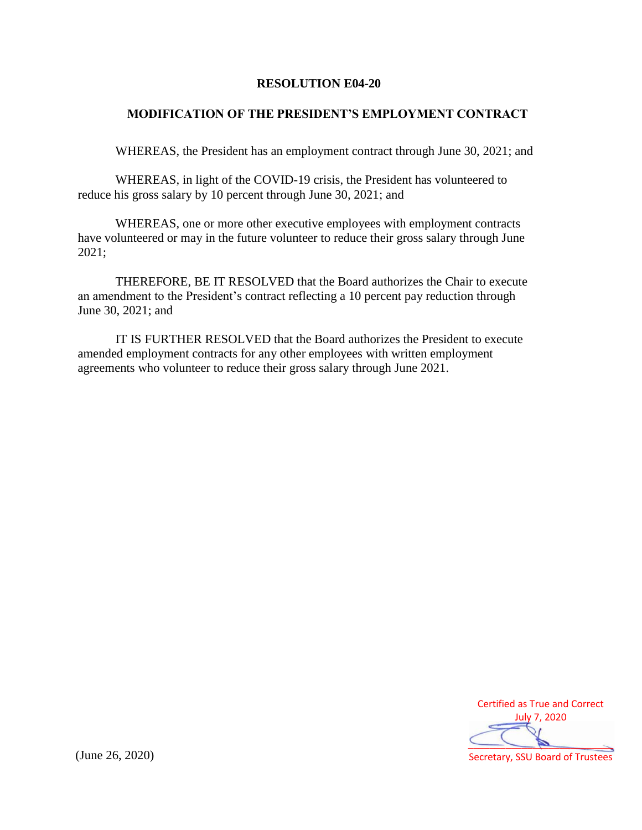#### **RESOLUTION E04-20**

### **MODIFICATION OF THE PRESIDENT'S EMPLOYMENT CONTRACT**

WHEREAS, the President has an employment contract through June 30, 2021; and

WHEREAS, in light of the COVID-19 crisis, the President has volunteered to reduce his gross salary by 10 percent through June 30, 2021; and

WHEREAS, one or more other executive employees with employment contracts have volunteered or may in the future volunteer to reduce their gross salary through June 2021;

THEREFORE, BE IT RESOLVED that the Board authorizes the Chair to execute an amendment to the President's contract reflecting a 10 percent pay reduction through June 30, 2021; and

IT IS FURTHER RESOLVED that the Board authorizes the President to execute amended employment contracts for any other employees with written employment agreements who volunteer to reduce their gross salary through June 2021.



Secretary, SSU Board of Trustees